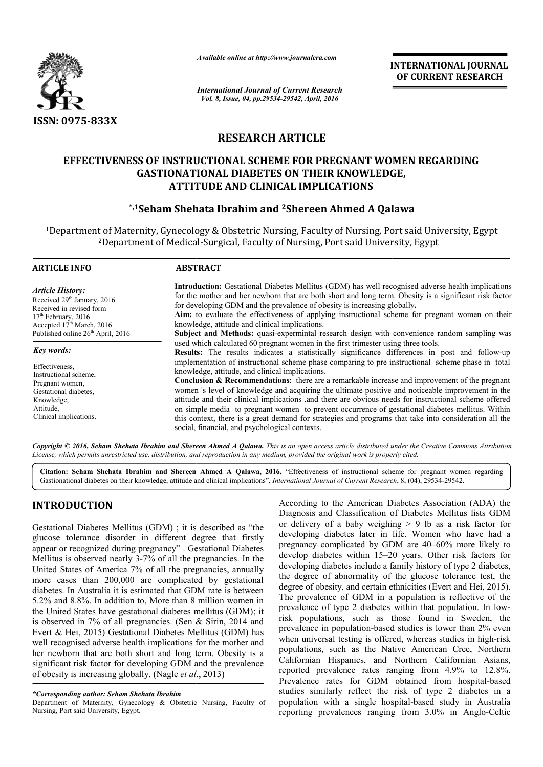

*Available online at http://www.journalcra.com*

**INTERNATIONAL JOURNAL OF CURRENT RESEARCH** 

*International Journal of Current Research Vol. 8, Issue, 04, pp.29534-29542, April, 2016*

# **RESEARCH ARTICLE**

# EFFECTIVENESS OF INSTRUCTIONAL SCHEME FOR PREGNANT WOMEN REGARDING<br>GASTIONATIONAL DIABETES ON THEIR KNOWLEDGE,<br>ATTITUDE AND CLINICAL IMPLICATIONS<br>\*,1Seham Shehata Ibrahim and <sup>2</sup>Shereen Ahmed A Qalawa\* **GASTIONATIONAL DIABETES ON THEIR KNOWLEDGE, ATTITUDE AND CLINICAL IMPLICATIONS**

# **\*,1Seham Shehata Ibrahim and Seham 2Shereen Ahmed A Qalawa**

<sup>1</sup>Department of Maternity, Gynecology & Obstetric Nursing, Faculty of Nursing, Port said University, Egypt<sup>2</sup>Department of Medical-Surgical, Faculty of Nursing, Port said University, Egypt <sup>2</sup>Department of Medical-Surgical, Faculty of Nursing, Port said University, Egypt

| ARTICLE INFO                                                                                                                                                     | <b>ABSTRACT</b>                                                                                                                                                                                                                                                                                                                                                                                                                                                                                                                                                                                                                                                                                                                                 |
|------------------------------------------------------------------------------------------------------------------------------------------------------------------|-------------------------------------------------------------------------------------------------------------------------------------------------------------------------------------------------------------------------------------------------------------------------------------------------------------------------------------------------------------------------------------------------------------------------------------------------------------------------------------------------------------------------------------------------------------------------------------------------------------------------------------------------------------------------------------------------------------------------------------------------|
| <b>Article History:</b><br>Received 29 <sup>th</sup> January, 2016<br>Received in revised form<br>$17th$ February, 2016<br>Accepted 17 <sup>th</sup> March, 2016 | <b>Introduction:</b> Gestational Diabetes Mellitus (GDM) has well recognised adverse health implications<br>for the mother and her newborn that are both short and long term. Obesity is a significant risk factor<br>for developing GDM and the prevalence of obesity is increasing globally.<br>Aim: to evaluate the effectiveness of applying instructional scheme for pregnant women on their<br>knowledge, attitude and clinical implications.                                                                                                                                                                                                                                                                                             |
| Published online 26 <sup>th</sup> April, 2016                                                                                                                    | Subject and Methods: quasi-expermintal research design with convenience random sampling was<br>used which calculated 60 pregnant women in the first trimester using three tools.                                                                                                                                                                                                                                                                                                                                                                                                                                                                                                                                                                |
| Key words:                                                                                                                                                       | <b>Results:</b> The results indicates a statistically significance differences in post and follow-up                                                                                                                                                                                                                                                                                                                                                                                                                                                                                                                                                                                                                                            |
| Effectiveness,<br>Instructional scheme,<br>Pregnant women,<br>Gestational diabetes,<br>Knowledge,<br>Attitude,<br>Clinical implications.                         | implementation of instructional scheme phase comparing to pre instructional scheme phase in total<br>knowledge, attitude, and clinical implications.<br><b>Conclusion &amp; Recommendations:</b> there are a remarkable increase and improvement of the pregnant<br>women 's level of knowledge and acquiring the ultimate positive and noticeable improvement in the<br>attitude and their clinical implications ,and there are obvious needs for instructional scheme offered<br>on simple media to pregnant women to prevent occurrence of gestational diabetes mellitus. Within<br>this context, there is a great demand for strategies and programs that take into consideration all the<br>social, financial, and psychological contexts. |

Copyright © 2016, Seham Shehata Ibrahim and Shereen Ahmed A Qalawa. This is an open access article distributed under the Creative Commons Attribution *License, which permits unrestricted use, distribution, and reproduction in any medium, provided the original work is properly cited. use, in medium, cited.*

Citation: Seham Shehata Ibrahim and Shereen Ahmed A Qalawa, 2016. "Effectiveness of instructional scheme for pregnant women regarding Gastionational diabetes on their knowledge, attitude and clinical implications", *International Journal of Current Research*, 8, (04), 29534-29542.

# **INTRODUCTION**

Gestational Diabetes Mellitus (GDM) ; it is described as "the glucose tolerance disorder in different degree that firstly appear or recognized during pregnancy" . Gestational Diabetes Mellitus is observed nearly 3-7% of all the pregnancies. In the United States of America 7% of all the pregnancies, annually more cases than 200,000 are complicated by gestational diabetes. In Australia it is estimated that GDM rate is between 5.2% and 8.8%. In addition to, More than 8 million women in the United States have gestational diabetes mellitus (GDM): it is observed in 7% of all pregnancies. (Sen & Sirin, 2014 and Evert & Hei, 2015) Gestational Diabetes Mellitus (GDM) has well recognised adverse health implications for the mother and her newborn that are both short and long term. Obesity is a significant risk factor for developing GDM and the prevalence of obesity is increasing globally. (Nagle *et al* 7% of all the pregnancies. In the<br>of all the pregnancies, annually<br>are complicated by gestational<br>mated that GDM rate is between<br>b, More than 8 million women in<br>onal diabetes mellitus (GDM); it s. (Sen & Sirin,<br>betes Mellitus (C<br>cations for the m<br>d long term. Ob<br>; GDM and the p<br>gle *et al.*, 2013)

According to the American Diabetes Association (ADA) the Diagnosis and Classification of Diabetes Mellitus lists GDM or delivery of a baby weighing  $> 9$  lb as a risk factor for developing diabetes later in life. Women who have had a pregnancy complicated by GDM are 40–60% more likely to develop diabetes within 15–20 years. Other risk factors for developing diabetes include a family history of type 2 diabetes, develop diabetes within 15–20 years. Other risk factors for developing diabetes include a family history of type 2 diabetes, the degree of abnormality of the glucose tolerance test, the degree of obesity, and certain ethnicities (Evert and Hei, 2015). The prevalence of GDM in a population is reflective of the The prevalence of GDM in a population is reflective of the prevalence of type 2 diabetes within that population. In lowrisk populations, such as those found in Sweden, the risk populations, such as those found in Sweden, the prevalence in population-based studies is lower than 2% even when universal testing is offered, whereas studies in high-risk populations, such as the Native American Cree, Northern Californian Hispanics, and Northern Californian Asians, populations, such as the Native American Cree, Northern Californian Hispanics, and Northern Californian Asians, reported prevalence rates ranging from 4.9% to 12.8%. Prevalence rates for GDM obtained from hospital-based studies similarly reflect the risk of type 2 diabetes in a studies similarly reflect the risk of type 2 diabetes in a population with a single hospital-based study in Australia reporting prevalences ranging from 3.0% in Anglo-Celtic o the American Diabetes Association (ADA) the<br>nd Classification of Diabetes Mellitus lists GDM<br>of a baby weighing > 9 lb as a risk factor for<br>diabetes later in life. Women who have had a<br>omplicated by GDM are 40–60% more l

*<sup>\*</sup>Corresponding author: Seham Shehata Ibrahim* 

Department of Maternity, Gynecology & Obstetric Nursing, Faculty of Nursing, Port said University, Egypt.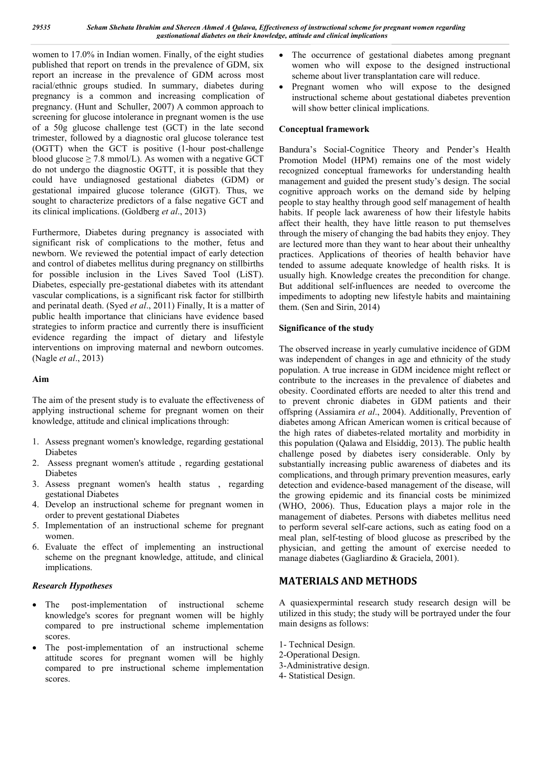women to 17.0% in Indian women. Finally, of the eight studies published that report on trends in the prevalence of GDM, six report an increase in the prevalence of GDM across most racial/ethnic groups studied. In summary, diabetes during pregnancy is a common and increasing complication of pregnancy. (Hunt and Schuller, 2007) A common approach to screening for glucose intolerance in pregnant women is the use of a 50g glucose challenge test (GCT) in the late second trimester, followed by a diagnostic oral glucose tolerance test (OGTT) when the GCT is positive (1-hour post-challenge blood glucose  $\geq$  7.8 mmol/L). As women with a negative GCT do not undergo the diagnostic OGTT, it is possible that they could have undiagnosed gestational diabetes (GDM) or gestational impaired glucose tolerance (GIGT). Thus, we sought to characterize predictors of a false negative GCT and its clinical implications. (Goldberg *et al*., 2013)

Furthermore, Diabetes during pregnancy is associated with significant risk of complications to the mother, fetus and newborn. We reviewed the potential impact of early detection and control of diabetes mellitus during pregnancy on stillbirths for possible inclusion in the Lives Saved Tool (LiST). Diabetes, especially pre-gestational diabetes with its attendant vascular complications, is a significant risk factor for stillbirth and perinatal death. (Syed *et al*., 2011) Finally, It is a matter of public health importance that clinicians have evidence based strategies to inform practice and currently there is insufficient evidence regarding the impact of dietary and lifestyle interventions on improving maternal and newborn outcomes. (Nagle *et al*., 2013)

# **Aim**

The aim of the present study is to evaluate the effectiveness of applying instructional scheme for pregnant women on their knowledge, attitude and clinical implications through:

- 1. Assess pregnant women's knowledge, regarding gestational Diabetes
- 2. Assess pregnant women's attitude , regarding gestational Diabetes
- 3. Assess pregnant women's health status , regarding gestational Diabetes
- 4. Develop an instructional scheme for pregnant women in order to prevent gestational Diabetes
- 5. Implementation of an instructional scheme for pregnant women.
- 6. Evaluate the effect of implementing an instructional scheme on the pregnant knowledge, attitude, and clinical implications.

# *Research Hypotheses*

- The post-implementation of instructional scheme knowledge's scores for pregnant women will be highly compared to pre instructional scheme implementation scores.
- The post-implementation of an instructional scheme attitude scores for pregnant women will be highly compared to pre instructional scheme implementation scores.
- The occurrence of gestational diabetes among pregnant women who will expose to the designed instructional scheme about liver transplantation care will reduce.
- Pregnant women who will expose to the designed instructional scheme about gestational diabetes prevention will show better clinical implications.

# **Conceptual framework**

Bandura's Social-Cognitice Theory and Pender's Health Promotion Model (HPM) remains one of the most widely recognized conceptual frameworks for understanding health management and guided the present study's design. The social cognitive approach works on the demand side by helping people to stay healthy through good self management of health habits. If people lack awareness of how their lifestyle habits affect their health, they have little reason to put themselves through the misery of changing the bad habits they enjoy. They are lectured more than they want to hear about their unhealthy practices. Applications of theories of health behavior have tended to assume adequate knowledge of health risks. It is usually high. Knowledge creates the precondition for change. But additional self-influences are needed to overcome the impediments to adopting new lifestyle habits and maintaining them. (Sen and Sirin, 2014)

# **Significance of the study**

The observed increase in yearly cumulative incidence of GDM was independent of changes in age and ethnicity of the study population. A true increase in GDM incidence might reflect or contribute to the increases in the prevalence of diabetes and obesity. Coordinated efforts are needed to alter this trend and to prevent chronic diabetes in GDM patients and their offspring (Assiamira *et al*., 2004). Additionally, Prevention of diabetes among African American women is critical because of the high rates of diabetes-related mortality and morbidity in this population (Qalawa and Elsiddig, 2013). The public health challenge posed by diabetes isery considerable. Only by substantially increasing public awareness of diabetes and its complications, and through primary prevention measures, early detection and evidence-based management of the disease, will the growing epidemic and its financial costs be minimized (WHO, 2006). Thus, Education plays a major role in the management of diabetes. Persons with diabetes mellitus need to perform several self-care actions, such as eating food on a meal plan, self-testing of blood glucose as prescribed by the physician, and getting the amount of exercise needed to manage diabetes (Gagliardino & Graciela, 2001).

# **MATERIALS AND METHODS**

A quasiexpermintal research study research design will be utilized in this study; the study will be portrayed under the four main designs as follows:

1- Technical Design. 2-Operational Design. 3-Administrative design. 4- Statistical Design.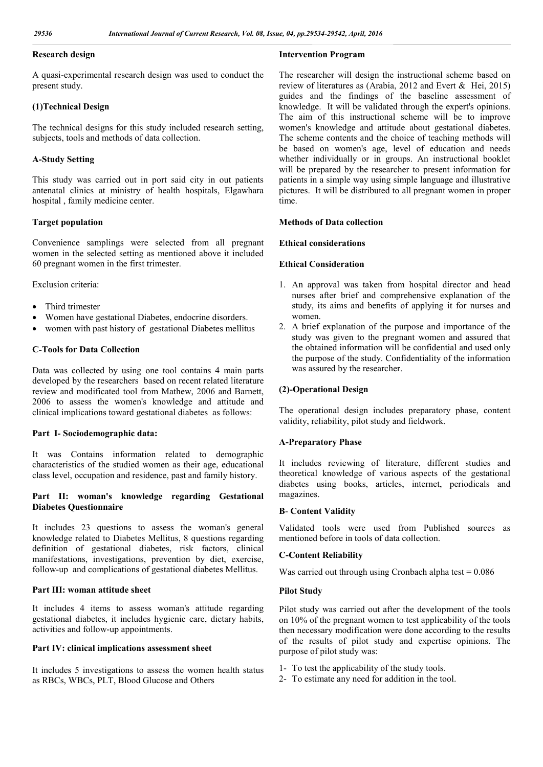## **Research design**

A quasi-experimental research design was used to conduct the present study.

#### **(1)Technical Design**

The technical designs for this study included research setting, subjects, tools and methods of data collection.

## **A-Study Setting**

This study was carried out in port said city in out patients antenatal clinics at ministry of health hospitals, Elgawhara hospital , family medicine center.

#### **Target population**

Convenience samplings were selected from all pregnant women in the selected setting as mentioned above it included 60 pregnant women in the first trimester.

Exclusion criteria:

- Third trimester
- Women have gestational Diabetes, endocrine disorders.
- women with past history of gestational Diabetes mellitus

#### **C-Tools for Data Collection**

Data was collected by using one tool contains 4 main parts developed by the researchers based on recent related literature review and modificated tool from Mathew, 2006 and Barnett, 2006 to assess the women's knowledge and attitude and clinical implications toward gestational diabetes as follows:

#### **Part I- Sociodemographic data:**

It was Contains information related to demographic characteristics of the studied women as their age, educational class level, occupation and residence, past and family history.

## **Part II: woman's knowledge regarding Gestational Diabetes Questionnaire**

It includes 23 questions to assess the woman's general knowledge related to Diabetes Mellitus, 8 questions regarding definition of gestational diabetes, risk factors, clinical manifestations, investigations, prevention by diet, exercise, follow-up and complications of gestational diabetes Mellitus.

#### **Part III: woman attitude sheet**

It includes 4 items to assess woman's attitude regarding gestational diabetes, it includes hygienic care, dietary habits, activities and follow-up appointments.

#### **Part IV: clinical implications assessment sheet**

It includes 5 investigations to assess the women health status as RBCs, WBCs, PLT, Blood Glucose and Others

#### **Intervention Program**

The researcher will design the instructional scheme based on review of literatures as (Arabia, 2012 and Evert & Hei, 2015) guides and the findings of the baseline assessment of knowledge. It will be validated through the expert's opinions. The aim of this instructional scheme will be to improve women's knowledge and attitude about gestational diabetes. The scheme contents and the choice of teaching methods will be based on women's age, level of education and needs whether individually or in groups. An instructional booklet will be prepared by the researcher to present information for patients in a simple way using simple language and illustrative pictures. It will be distributed to all pregnant women in proper time.

#### **Methods of Data collection**

#### **Ethical considerations**

#### **Ethical Consideration**

- 1. An approval was taken from hospital director and head nurses after brief and comprehensive explanation of the study, its aims and benefits of applying it for nurses and women.
- 2. A brief explanation of the purpose and importance of the study was given to the pregnant women and assured that the obtained information will be confidential and used only the purpose of the study. Confidentiality of the information was assured by the researcher.

## **(2)-Operational Design**

The operational design includes preparatory phase, content validity, reliability, pilot study and fieldwork.

#### **A-Preparatory Phase**

It includes reviewing of literature, different studies and theoretical knowledge of various aspects of the gestational diabetes using books, articles, internet, periodicals and magazines.

#### **B**- **Content Validity**

Validated tools were used from Published sources as mentioned before in tools of data collection.

#### **C-Content Reliability**

Was carried out through using Cronbach alpha test  $= 0.086$ 

#### **Pilot Study**

Pilot study was carried out after the development of the tools on 10% of the pregnant women to test applicability of the tools then necessary modification were done according to the results of the results of pilot study and expertise opinions. The purpose of pilot study was:

- 1- To test the applicability of the study tools.
- 2- To estimate any need for addition in the tool.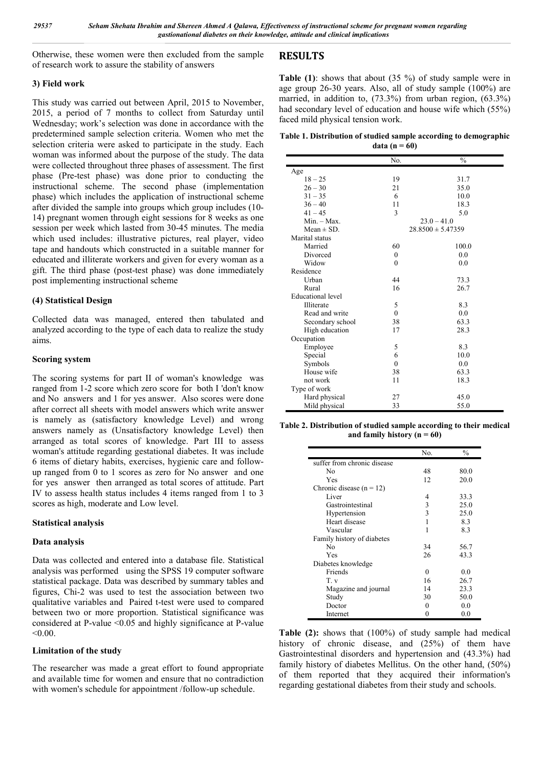Otherwise, these women were then excluded from the sample of research work to assure the stability of answers

#### **3) Field work**

This study was carried out between April, 2015 to November, 2015, a period of 7 months to collect from Saturday until Wednesday; work's selection was done in accordance with the predetermined sample selection criteria. Women who met the selection criteria were asked to participate in the study. Each woman was informed about the purpose of the study. The data were collected throughout three phases of assessment. The first phase (Pre-test phase) was done prior to conducting the instructional scheme. The second phase (implementation phase) which includes the application of instructional scheme after divided the sample into groups which group includes (10- 14) pregnant women through eight sessions for 8 weeks as one session per week which lasted from 30-45 minutes. The media which used includes: illustrative pictures, real player, video tape and handouts which constructed in a suitable manner for educated and illiterate workers and given for every woman as a gift. The third phase (post-test phase) was done immediately post implementing instructional scheme

#### **(4) Statistical Design**

Collected data was managed, entered then tabulated and analyzed according to the type of each data to realize the study aims.

#### **Scoring system**

The scoring systems for part II of woman's knowledge was ranged from 1-2 score which zero score for both I 'don't know and No answers and 1 for yes answer. Also scores were done after correct all sheets with model answers which write answer is namely as (satisfactory knowledge Level) and wrong answers namely as (Unsatisfactory knowledge Level) then arranged as total scores of knowledge. Part III to assess woman's attitude regarding gestational diabetes. It was include 6 items of dietary habits, exercises, hygienic care and followup ranged from 0 to 1 scores as zero for No answer and one for yes answer then arranged as total scores of attitude. Part IV to assess health status includes 4 items ranged from 1 to 3 scores as high, moderate and Low level.

#### **Statistical analysis**

#### **Data analysis**

Data was collected and entered into a database file. Statistical analysis was performed using the SPSS 19 computer software statistical package. Data was described by summary tables and figures, Chi-2 was used to test the association between two qualitative variables and Paired t-test were used to compared between two or more proportion. Statistical significance was considered at P-value <0.05 and highly significance at P-value  $< 0.00$ .

## **Limitation of the study**

The researcher was made a great effort to found appropriate and available time for women and ensure that no contradiction with women's schedule for appointment /follow-up schedule.

# **RESULTS**

**Table (1)**: shows that about (35 %) of study sample were in age group 26-30 years. Also, all of study sample (100%) are married, in addition to, (73.3%) from urban region, (63.3%) had secondary level of education and house wife which (55%) faced mild physical tension work.

**Table 1. Distribution of studied sample according to demographic data** ( $n = 60$ )

|                          | No.          | $\frac{0}{0}$         |  |  |
|--------------------------|--------------|-----------------------|--|--|
| Age                      |              |                       |  |  |
| $18 - 25$                | 19           | 31.7                  |  |  |
| $26 - 30$                | 21           | 35.0                  |  |  |
| $31 - 35$                | 6            | 10.0                  |  |  |
| $36 - 40$                | 11           | 18.3                  |  |  |
| $41 - 45$                | 3            | 5.0                   |  |  |
| $Min. - Max.$            |              | $23.0 - 41.0$         |  |  |
| Mean $\pm$ SD.           |              | $28.8500 \pm 5.47359$ |  |  |
| Marital status           |              |                       |  |  |
| Married                  | 60           | 100.0                 |  |  |
| Divorced                 | $\mathbf{0}$ | 0.0                   |  |  |
| Widow                    | $\theta$     | 0.0                   |  |  |
| Residence                |              |                       |  |  |
| Urban                    | 44           | 73.3                  |  |  |
| Rural                    | 16           | 26.7                  |  |  |
| <b>Educational</b> level |              |                       |  |  |
| Illiterate               | 5            | 8.3                   |  |  |
| Read and write           | $\mathbf{0}$ | 0.0                   |  |  |
| Secondary school         | 38           | 63.3                  |  |  |
| High education           | 17           | 28.3                  |  |  |
| Occupation               |              |                       |  |  |
| Employee                 | 5            | 8.3                   |  |  |
| Special                  | 6            | 10.0                  |  |  |
| Symbols                  | $\theta$     | 0.0                   |  |  |
| House wife               | 38           | 63.3                  |  |  |
| not work                 | 11           | 18.3                  |  |  |
| Type of work             |              |                       |  |  |
| Hard physical            | 27           | 45.0                  |  |  |
| Mild physical            | 33           | 55.0                  |  |  |

**Table 2. Distribution of studied sample according to their medical and family history (n = 60)**

|                             | No. | $\frac{0}{0}$ |
|-----------------------------|-----|---------------|
| suffer from chronic disease |     |               |
| No                          | 48  | 80.0          |
| Yes                         | 12  | 20.0          |
| Chronic disease $(n = 12)$  |     |               |
| Liver                       | 4   | 33.3          |
| Gastrointestinal            | 3   | 25.0          |
| Hypertension                | 3   | 25.0          |
| Heart disease               | 1   | 8.3           |
| Vascular                    | 1   | 8.3           |
| Family history of diabetes  |     |               |
| No                          | 34  | 56.7          |
| Yes                         | 26  | 43.3          |
| Diabetes knowledge          |     |               |
| Friends                     | 0   | 0.0           |
| $T_{\cdot}$ v               | 16  | 26.7          |
| Magazine and journal        | 14  | 23.3          |
| Study                       | 30  | 50.0          |
| Doctor                      | 0   | 0.0           |
| Internet                    | 0   | 0.0           |

**Table (2):** shows that (100%) of study sample had medical history of chronic disease, and  $(25%)$  of them have Gastrointestinal disorders and hypertension and (43.3%) had family history of diabetes Mellitus. On the other hand, (50%) of them reported that they acquired their information's regarding gestational diabetes from their study and schools.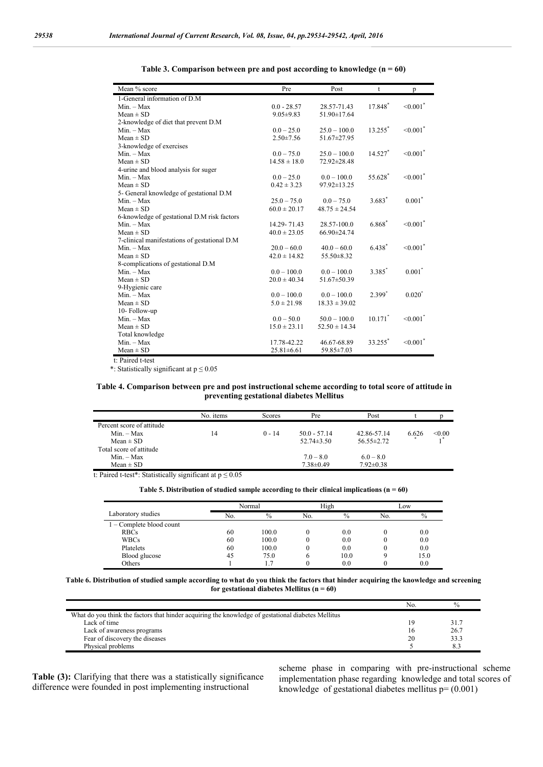| Mean % score                                 | Pre              | Post              | t                     | p                         |
|----------------------------------------------|------------------|-------------------|-----------------------|---------------------------|
| 1-General information of D.M                 |                  |                   |                       |                           |
| $Min. - Max$                                 | $0.0 - 28.57$    | 28.57-71.43       | 17.848*               | $< 0.001$ <sup>*</sup>    |
| $Mean \pm SD$                                | $9.05 \pm 9.83$  | 51.90±17.64       |                       |                           |
| 2-knowledge of diet that prevent D.M         |                  |                   |                       |                           |
| $Min. - Max$                                 | $0.0 - 25.0$     | $25.0 - 100.0$    | $13.255$ <sup>*</sup> | $< 0.001$ <sup>*</sup>    |
| $Mean \pm SD$                                | $2.50 \pm 7.56$  | $51.67 \pm 27.95$ |                       |                           |
| 3-knowledge of exercises                     |                  |                   |                       |                           |
| $Min. - Max$                                 | $0.0 - 75.0$     | $25.0 - 100.0$    | $14.527$ <sup>*</sup> | $< 0.001$ <sup>*</sup>    |
| $Mean \pm SD$                                | $14.58 \pm 18.0$ | 72.92±28.48       |                       |                           |
| 4-urine and blood analysis for suger         |                  |                   |                       |                           |
| $Min. - Max$                                 | $0.0 - 25.0$     | $0.0 - 100.0$     | 55.628*               | $\leq 0.001$ <sup>*</sup> |
| $Mean \pm SD$                                | $0.42 \pm 3.23$  | $97.92 \pm 13.25$ |                       |                           |
| 5- General knowledge of gestational D.M      |                  |                   |                       |                           |
| $Min. - Max$                                 | $25.0 - 75.0$    | $0.0 - 75.0$      | $3.683*$              | $0.001*$                  |
| $Mean \pm SD$                                | $60.0 \pm 20.17$ | $48.75 \pm 24.54$ |                       |                           |
| 6-knowledge of gestational D.M risk factors  |                  |                   |                       |                           |
| $Min. - Max$                                 | 14.29-71.43      | 28.57-100.0       | 6.868                 | $\leq 0.001$ <sup>*</sup> |
| $Mean \pm SD$                                | $40.0 \pm 23.05$ | $66.90 \pm 24.74$ |                       |                           |
| 7-clinical manifestations of gestational D.M |                  |                   |                       |                           |
| $Min. - Max$                                 | $20.0 - 60.0$    | $40.0 - 60.0$     | 6.438*                | $\leq 0.001$ <sup>*</sup> |
| $Mean \pm SD$                                | $42.0 \pm 14.82$ | 55.50 ± 8.32      |                       |                           |
| 8-complications of gestational D.M           |                  |                   |                       |                           |
| $Min. - Max$                                 | $0.0 - 100.0$    | $0.0 - 100.0$     | 3.385                 | $0.001^*$                 |
| $Mean \pm SD$                                | $20.0 \pm 40.34$ | $51.67 \pm 50.39$ |                       |                           |
| 9-Hygienic care                              |                  |                   |                       |                           |
| $Min. - Max$                                 | $0.0 - 100.0$    | $0.0 - 100.0$     | $2.399*$              | $0.020^*$                 |
| $Mean \pm SD$                                | $5.0 \pm 21.98$  | $18.33 \pm 39.02$ |                       |                           |
| 10-Follow-up                                 |                  |                   |                       |                           |
| $Min. - Max$                                 | $0.0 - 50.0$     | $50.0 - 100.0$    | $10.171$ *            | $\leq 0.001$ <sup>*</sup> |
| $Mean \pm SD$                                | $15.0 \pm 23.11$ | $52.50 \pm 14.34$ |                       |                           |
| Total knowledge                              |                  |                   |                       |                           |
| $Min. - Max$                                 | 17.78-42.22      | 46.67-68.89       | 33.255                | $\leq 0.001$ <sup>*</sup> |
| $Mean \pm SD$                                | $25.81 \pm 6.61$ | 59.85 ± 7.03      |                       |                           |

| Table 3. Comparison between pre and post according to knowledge $(n = 60)$ |  |  |
|----------------------------------------------------------------------------|--|--|
|                                                                            |  |  |

t: Paired t-test

\*: Statistically significant at p ≤ 0.05

#### **Table 4. Comparison between pre and post instructional scheme according to total score of attitude in preventing gestational diabetes Mellitus**

|                           | No. items | Scores   | Pre              | Post             |       |        |
|---------------------------|-----------|----------|------------------|------------------|-------|--------|
| Percent score of attitude |           |          |                  |                  |       |        |
| $Min - Max$               | 14        | $0 - 14$ | $50.0 - 57.14$   | 42.86-57.14      | 6.626 | < 0.00 |
| $Mean \pm SD$             |           |          | $52.74 \pm 3.50$ | $56.55 \pm 2.72$ |       |        |
| Total score of attitude   |           |          |                  |                  |       |        |
| $Min - Max$               |           |          | $7.0 - 8.0$      | $6.0 - 8.0$      |       |        |
| $Mean \pm SD$             |           |          | $7.38 \pm 0.49$  | $7.92 \pm 0.38$  |       |        |

t: Paired t-test\*: Statistically significant at  $p \le 0.05$ 

| Table 5. Distribution of studied sample according to their clinical implications ( $n = 60$ ) |  |
|-----------------------------------------------------------------------------------------------|--|
|                                                                                               |  |

|                          | Normal |       |     | High          |     | Low           |  |
|--------------------------|--------|-------|-----|---------------|-----|---------------|--|
| Laboratory studies       | No.    | $\%$  | No. | $\frac{0}{0}$ | No. | $\frac{0}{0}$ |  |
| 1 – Complete blood count |        |       |     |               |     |               |  |
| <b>RBCs</b>              | 60     | 100.0 |     | 0.0           |     | 0.0           |  |
| <b>WBCs</b>              | 60     | 100.0 |     | 0.0           | 0   | 0.0           |  |
| Platelets                | 60     | 100.0 |     | 0.0           |     | 0.0           |  |
| Blood glucose            | 45     | 75.0  | o   | 10.0          |     | 15.0          |  |
| Others                   |        | 1.7   |     | 0.0           |     | 0.0           |  |

**Table 6. Distribution of studied sample according to what do you think the factors that hinder acquiring the knowledge and screening for gestational diabetes Mellitus (n = 60)**

|                                                                                                    | No. | $\frac{0}{0}$ |
|----------------------------------------------------------------------------------------------------|-----|---------------|
| What do you think the factors that hinder acquiring the knowledge of gestational diabetes Mellitus |     |               |
| Lack of time                                                                                       | 19  | 31.7          |
| Lack of awareness programs                                                                         | 16  | 26.7          |
| Fear of discovery the diseases                                                                     | 20  | 33.3          |
| Physical problems                                                                                  |     | 8.3           |

**Table (3):** Clarifying that there was a statistically significance difference were founded in post implementing instructional

scheme phase in comparing with pre-instructional scheme implementation phase regarding knowledge and total scores of knowledge of gestational diabetes mellitus  $p = (0.001)$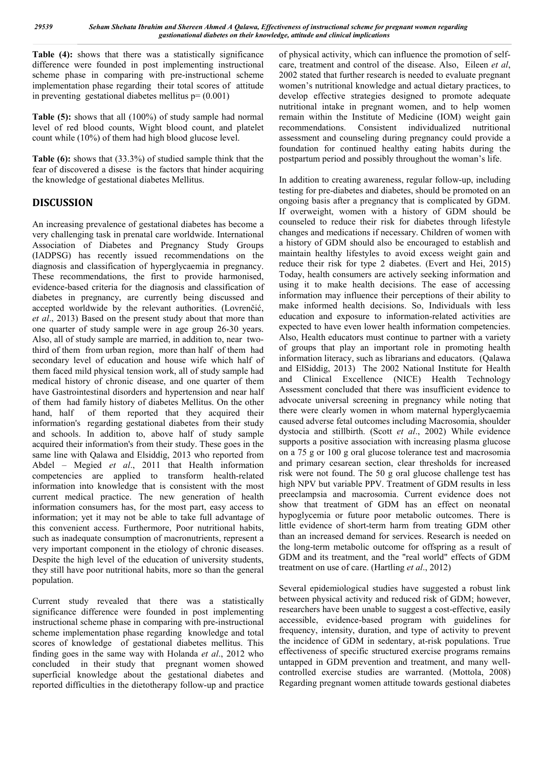**Table (4):** shows that there was a statistically significance difference were founded in post implementing instructional scheme phase in comparing with pre-instructional scheme implementation phase regarding their total scores of attitude in preventing gestational diabetes mellitus  $p = (0.001)$ 

**Table (5):** shows that all (100%) of study sample had normal level of red blood counts, Wight blood count, and platelet count while (10%) of them had high blood glucose level.

**Table (6):** shows that (33.3%) of studied sample think that the fear of discovered a disese is the factors that hinder acquiring the knowledge of gestational diabetes Mellitus.

# **DISCUSSION**

An increasing prevalence of gestational diabetes has become a very challenging task in prenatal care worldwide. International Association of Diabetes and Pregnancy Study Groups (IADPSG) has recently issued recommendations on the diagnosis and classification of hyperglycaemia in pregnancy. These recommendations, the first to provide harmonised, evidence-based criteria for the diagnosis and classification of diabetes in pregnancy, are currently being discussed and accepted worldwide by the relevant authorities. (Lovrenčić, *et al*., 2013) Based on the present study about that more than one quarter of study sample were in age group 26-30 years. Also, all of study sample are married, in addition to, near twothird of them from urban region, more than half of them had secondary level of education and house wife which half of them faced mild physical tension work, all of study sample had medical history of chronic disease, and one quarter of them have Gastrointestinal disorders and hypertension and near half of them had family history of diabetes Mellitus. On the other hand, half of them reported that they acquired their information's regarding gestational diabetes from their study and schools. In addition to, above half of study sample acquired their information's from their study. These goes in the same line with Qalawa and Elsiddig, 2013 who reported from Abdel – Megied *et al*., 2011 that Health information competencies are applied to transform health-related information into knowledge that is consistent with the most current medical practice. The new generation of health information consumers has, for the most part, easy access to information; yet it may not be able to take full advantage of this convenient access. Furthermore, Poor nutritional habits, such as inadequate consumption of macronutrients, represent a very important component in the etiology of chronic diseases. Despite the high level of the education of university students, they still have poor nutritional habits, more so than the general population.

Current study revealed that there was a statistically significance difference were founded in post implementing instructional scheme phase in comparing with pre-instructional scheme implementation phase regarding knowledge and total scores of knowledge of gestational diabetes mellitus. This finding goes in the same way with Holanda *et al*., 2012 who concluded in their study that pregnant women showed superficial knowledge about the gestational diabetes and reported difficulties in the dietotherapy follow-up and practice

of physical activity, which can influence the promotion of selfcare, treatment and control of the disease. Also, Eileen *et al*, 2002 stated that further research is needed to evaluate pregnant women's nutritional knowledge and actual dietary practices, to develop effective strategies designed to promote adequate nutritional intake in pregnant women, and to help women remain within the Institute of Medicine (IOM) weight gain recommendations. Consistent individualized nutritional assessment and counseling during pregnancy could provide a foundation for continued healthy eating habits during the postpartum period and possibly throughout the woman's life.

In addition to creating awareness, regular follow-up, including testing for pre-diabetes and diabetes, should be promoted on an ongoing basis after a pregnancy that is complicated by GDM. If overweight, women with a history of GDM should be counseled to reduce their risk for diabetes through lifestyle changes and medications if necessary. Children of women with a history of GDM should also be encouraged to establish and maintain healthy lifestyles to avoid excess weight gain and reduce their risk for type 2 diabetes. (Evert and Hei, 2015) Today, health consumers are actively seeking information and using it to make health decisions. The ease of accessing information may influence their perceptions of their ability to make informed health decisions. So, Individuals with less education and exposure to information-related activities are expected to have even lower health information competencies. Also, Health educators must continue to partner with a variety of groups that play an important role in promoting health information literacy, such as librarians and educators. (Qalawa and ElSiddig, 2013) The 2002 National Institute for Health and Clinical Excellence (NICE) Health Technology Assessment concluded that there was insufficient evidence to advocate universal screening in pregnancy while noting that there were clearly women in whom maternal hyperglycaemia caused adverse fetal outcomes including Macrosomia, shoulder dystocia and stillbirth. (Scott *et al*., 2002) While evidence supports a positive association with increasing plasma glucose on a 75 g or 100 g oral glucose tolerance test and macrosomia and primary cesarean section, clear thresholds for increased risk were not found. The 50 g oral glucose challenge test has high NPV but variable PPV. Treatment of GDM results in less preeclampsia and macrosomia. Current evidence does not show that treatment of GDM has an effect on neonatal hypoglycemia or future poor metabolic outcomes. There is little evidence of short-term harm from treating GDM other than an increased demand for services. Research is needed on the long-term metabolic outcome for offspring as a result of GDM and its treatment, and the "real world" effects of GDM treatment on use of care. (Hartling *et al*., 2012)

Several epidemiological studies have suggested a robust link between physical activity and reduced risk of GDM; however, researchers have been unable to suggest a cost-effective, easily accessible, evidence-based program with guidelines for frequency, intensity, duration, and type of activity to prevent the incidence of GDM in sedentary, at-risk populations. True effectiveness of specific structured exercise programs remains untapped in GDM prevention and treatment, and many wellcontrolled exercise studies are warranted. (Mottola, 2008) Regarding pregnant women attitude towards gestional diabetes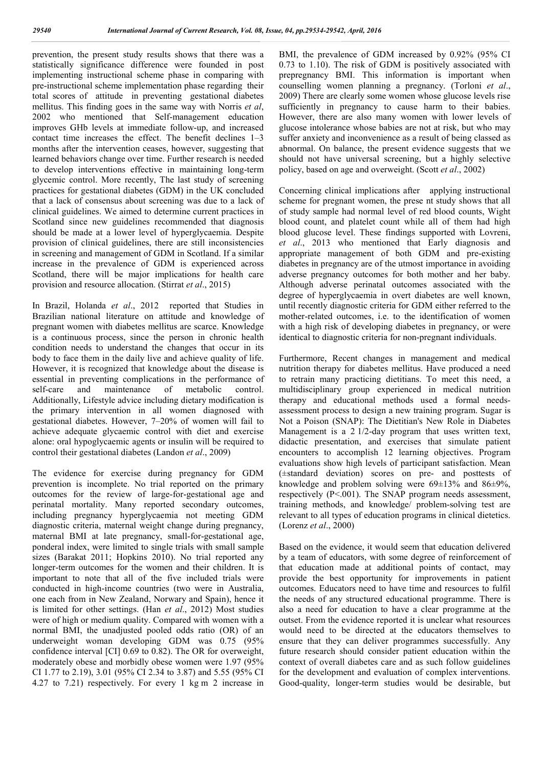prevention, the present study results shows that there was a statistically significance difference were founded in post implementing instructional scheme phase in comparing with pre-instructional scheme implementation phase regarding their total scores of attitude in preventing gestational diabetes mellitus. This finding goes in the same way with Norris *et al*, 2002 who mentioned that Self-management education improves GHb levels at immediate follow-up, and increased contact time increases the effect. The benefit declines 1–3 months after the intervention ceases, however, suggesting that learned behaviors change over time. Further research is needed to develop interventions effective in maintaining long-term glycemic control. More recently, The last study of screening practices for gestational diabetes (GDM) in the UK concluded that a lack of consensus about screening was due to a lack of clinical guidelines. We aimed to determine current practices in Scotland since new guidelines recommended that diagnosis should be made at a lower level of hyperglycaemia. Despite provision of clinical guidelines, there are still inconsistencies in screening and management of GDM in Scotland. If a similar increase in the prevalence of GDM is experienced across Scotland, there will be major implications for health care provision and resource allocation. (Stirrat *et al*., 2015)

In Brazil, Holanda *et al*., 2012 reported that Studies in Brazilian national literature on attitude and knowledge of pregnant women with diabetes mellitus are scarce. Knowledge is a continuous process, since the person in chronic health condition needs to understand the changes that occur in its body to face them in the daily live and achieve quality of life. However, it is recognized that knowledge about the disease is essential in preventing complications in the performance of self-care and maintenance of metabolic control. Additionally, Lifestyle advice including dietary modification is the primary intervention in all women diagnosed with gestational diabetes. However, 7–20% of women will fail to achieve adequate glycaemic control with diet and exercise alone: oral hypoglycaemic agents or insulin will be required to control their gestational diabetes (Landon *et al*., 2009)

The evidence for exercise during pregnancy for GDM prevention is incomplete. No trial reported on the primary outcomes for the review of large-for-gestational age and perinatal mortality. Many reported secondary outcomes, including pregnancy hyperglycaemia not meeting GDM diagnostic criteria, maternal weight change during pregnancy, maternal BMI at late pregnancy, small-for-gestational age, ponderal index, were limited to single trials with small sample sizes (Barakat 2011; Hopkins 2010). No trial reported any longer-term outcomes for the women and their children. It is important to note that all of the five included trials were conducted in high-income countries (two were in Australia, one each from in New Zealand, Norwary and Spain), hence it is limited for other settings. (Han *et al*., 2012) Most studies were of high or medium quality. Compared with women with a normal BMI, the unadjusted pooled odds ratio (OR) of an underweight woman developing GDM was 0.75 (95% confidence interval [CI] 0.69 to 0.82). The OR for overweight, moderately obese and morbidly obese women were 1.97 (95% CI 1.77 to 2.19), 3.01 (95% CI 2.34 to 3.87) and 5.55 (95% CI 4.27 to 7.21) respectively. For every 1 kg m 2 increase in

BMI, the prevalence of GDM increased by 0.92% (95% CI 0.73 to 1.10). The risk of GDM is positively associated with prepregnancy BMI. This information is important when counselling women planning a pregnancy. (Torloni *et al*., 2009) There are clearly some women whose glucose levels rise sufficiently in pregnancy to cause harm to their babies. However, there are also many women with lower levels of glucose intolerance whose babies are not at risk, but who may suffer anxiety and inconvenience as a result of being classed as abnormal. On balance, the present evidence suggests that we should not have universal screening, but a highly selective policy, based on age and overweight. (Scott *et al*., 2002)

Concerning clinical implications after applying instructional scheme for pregnant women, the prese nt study shows that all of study sample had normal level of red blood counts, Wight blood count, and platelet count while all of them had high blood glucose level. These findings supported with Lovreni, *et al*., 2013 who mentioned that Early diagnosis and appropriate management of both GDM and pre-existing diabetes in pregnancy are of the utmost importance in avoiding adverse pregnancy outcomes for both mother and her baby. Although adverse perinatal outcomes associated with the degree of hyperglycaemia in overt diabetes are well known, until recently diagnostic criteria for GDM either referred to the mother-related outcomes, i.e. to the identification of women with a high risk of developing diabetes in pregnancy, or were identical to diagnostic criteria for non-pregnant individuals.

Furthermore, Recent changes in management and medical nutrition therapy for diabetes mellitus. Have produced a need to retrain many practicing dietitians. To meet this need, a multidisciplinary group experienced in medical nutrition therapy and educational methods used a formal needsassessment process to design a new training program. Sugar is Not a Poison (SNAP): The Dietitian's New Role in Diabetes Management is a 2 1/2-day program that uses written text, didactic presentation, and exercises that simulate patient encounters to accomplish 12 learning objectives. Program evaluations show high levels of participant satisfaction. Mean (±standard deviation) scores on pre- and posttests of knowledge and problem solving were  $69\pm13\%$  and  $86\pm9\%$ , respectively (P<.001). The SNAP program needs assessment, training methods, and knowledge/ problem-solving test are relevant to all types of education programs in clinical dietetics. (Lorenz *et al*., 2000)

Based on the evidence, it would seem that education delivered by a team of educators, with some degree of reinforcement of that education made at additional points of contact, may provide the best opportunity for improvements in patient outcomes. Educators need to have time and resources to fulfil the needs of any structured educational programme. There is also a need for education to have a clear programme at the outset. From the evidence reported it is unclear what resources would need to be directed at the educators themselves to ensure that they can deliver programmes successfully. Any future research should consider patient education within the context of overall diabetes care and as such follow guidelines for the development and evaluation of complex interventions. Good-quality, longer-term studies would be desirable, but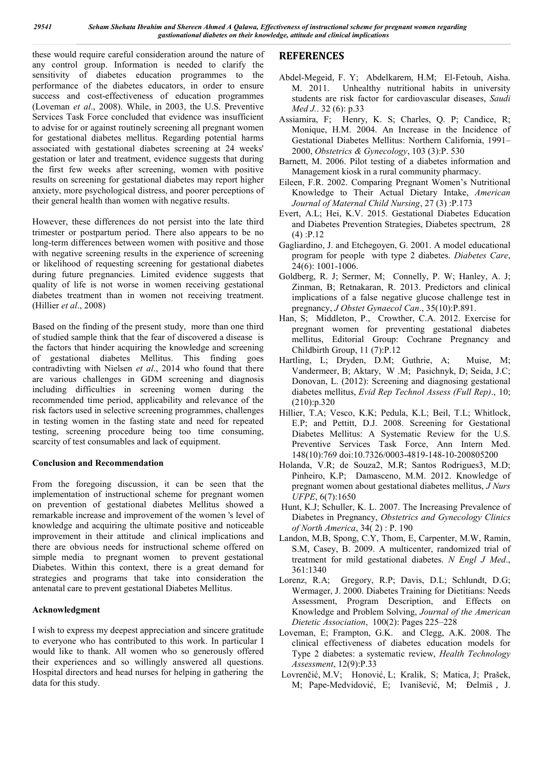these would require careful consideration around the nature of any control group. Information is needed to clarify the sensitivity of diabetes education programmes to the performance of the diabetes educators, in order to ensure success and cost-effectiveness of education programmes (Loveman *et al*., 2008). While, in 2003, the U.S. Preventive Services Task Force concluded that evidence was insufficient to advise for or against routinely screening all pregnant women for gestational diabetes mellitus. Regarding potential harms associated with gestational diabetes screening at 24 weeks' gestation or later and treatment, evidence suggests that during the first few weeks after screening, women with positive results on screening for gestational diabetes may report higher anxiety, more psychological distress, and poorer perceptions of their general health than women with negative results.

However, these differences do not persist into the late third trimester or postpartum period. There also appears to be no long-term differences between women with positive and those with negative screening results in the experience of screening or likelihood of requesting screening for gestational diabetes during future pregnancies. Limited evidence suggests that quality of life is not worse in women receiving gestational diabetes treatment than in women not receiving treatment. (Hillier *et al*., 2008)

Based on the finding of the present study, more than one third of studied sample think that the fear of discovered a disease is the factors that hinder acquiring the knowledge and screening of gestational diabetes Mellitus. This finding goes contradivting with Nielsen *et al*., 2014 who found that there are various challenges in GDM screening and diagnosis including difficulties in screening women during the recommended time period, applicability and relevance of the risk factors used in selective screening programmes, challenges in testing women in the fasting state and need for repeated testing, screening procedure being too time consuming, scarcity of test consumables and lack of equipment.

## **Conclusion and Recommendation**

From the foregoing discussion, it can be seen that the implementation of instructional scheme for pregnant women on prevention of gestational diabetes Mellitus showed a remarkable increase and improvement of the women 's level of knowledge and acquiring the ultimate positive and noticeable improvement in their attitude and clinical implications and there are obvious needs for instructional scheme offered on simple media to pregnant women to prevent gestational Diabetes. Within this context, there is a great demand for strategies and programs that take into consideration the antenatal care to prevent gestational Diabetes Mellitus.

## **Acknowledgment**

I wish to express my deepest appreciation and sincere gratitude to everyone who has contributed to this work. In particular I would like to thank. All women who so generously offered their experiences and so willingly answered all questions. Hospital directors and head nurses for helping in gathering the data for this study.

# **REFERENCES**

- Abdel-Megeid, F. Y; Abdelkarem, H.M; El-Fetouh, Aisha. M. 2011. Unhealthy nutritional habits in university students are risk factor for cardiovascular diseases, *Saudi Med J.*. 32 (6): p.33
- Assiamira, F; Henry, K. S; Charles, Q. P; Candice, R; Monique, H.M. 2004. An Increase in the Incidence of Gestational Diabetes Mellitus: Northern California, 1991– 2000, *Obstetrics & Gynecology*, 103 (3):P. 530
- Barnett, M. 2006. Pilot testing of a diabetes information and Management kiosk in a rural community pharmacy.
- Eileen, F.R. 2002. Comparing Pregnant Women's Nutritional Knowledge to Their Actual Dietary Intake, *American Journal of Maternal Child Nursing*, 27 (3) :P.173
- Evert, A.L; Hei, K.V. 2015. Gestational Diabetes Education and Diabetes Prevention Strategies, Diabetes spectrum, 28 (4) :P.12
- Gagliardino, J. and Etchegoyen, G. 2001. A model educational program for people with type 2 diabetes. *Diabetes Care*, 24(6): 1001-1006.
- Goldberg, R. J; Sermer, M; Connelly, P. W; Hanley, A. J; Zinman, B; Retnakaran, R. 2013. Predictors and clinical implications of a false negative glucose challenge test in pregnancy, *J Obstet Gynaecol Can*., 35(10):P.891.
- Han, S; Middleton, P., Crowther, C.A. 2012. Exercise for pregnant women for preventing gestational diabetes mellitus, Editorial Group: Cochrane Pregnancy and Childbirth Group, 11 (7):P.12
- Hartling, L; Dryden, D.M; Guthrie, A; Muise, M; Vandermeer, B; Aktary, W .M; Pasichnyk, D; Seida, J.C; Donovan, L. (2012): Screening and diagnosing gestational diabetes mellitus, *Evid Rep Technol Assess (Full Rep)*., 10; (210):p.320
- Hillier, T.A; Vesco, K.K; Pedula, K.L; Beil, T.L; Whitlock, E.P; and Pettitt, D.J. 2008. Screening for Gestational Diabetes Mellitus: A Systematic Review for the U.S. Preventive Services Task Force, Ann Intern Med. 148(10):769 doi:10.7326/0003-4819-148-10-200805200
- Holanda, V.R; de Souza2, M.R; Santos Rodrigues3, M.D; Pinheiro, K.P; Damasceno, M.M. 2012. Knowledge of pregnant women about gestational diabetes mellitus, *J Nurs UFPE*, 6(7):1650
- Hunt, K.J; Schuller, K. L. 2007. The Increasing Prevalence of Diabetes in Pregnancy, *Obstetrics and Gynecology Clinics of North America*, 34( 2) : P. 190
- Landon, M.B, Spong, C.Y, Thom, E, Carpenter, M.W, Ramin, S.M, Casey, B. 2009. A multicenter, randomized trial of treatment for mild gestational diabetes. *N Engl J Med*., 361:1340
- Lorenz, R.A; Gregory, R.P; Davis, D.L; Schlundt, D.G; Wermager, J. 2000. Diabetes Training for Dietitians: Needs Assessment, Program Description, and Effects on Knowledge and Problem Solving, *Journal of the American Dietetic Association*, 100(2): Pages 225–228
- Loveman, E; Frampton, G.K. and Clegg, A.K. 2008. The clinical effectiveness of diabetes education models for Type 2 diabetes: a systematic review, *Health Technology Assessment*, 12(9):P.33
- Lovrenčić, M.V; Honović, L; Kralik, S; Matica, J; Prašek, M; Pape-Medvidović, E; Ivanišević, M; Đelmiš , J.